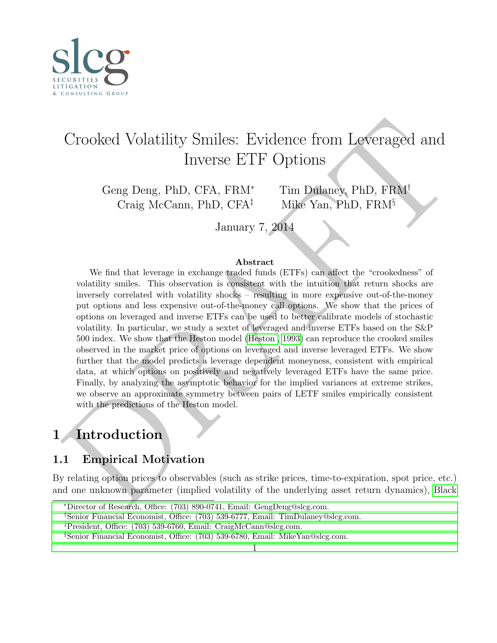<span id="page-0-0"></span>

# Crooked Volatility Smiles: Evidence from Leveraged and Inverse ETF Options

Geng Deng, PhD, CFA, FRM<sup>∗</sup> Tim Dulaney, PhD, FRM<sup>†</sup> Craig McCann, PhD, CFA<sup>‡</sup> Mike Yan, PhD, FRM<sup>§</sup>

January 7, 2014

#### Abstract

Crooked Volatility Smiles: Evidence from Leveraged and Inverse ETF Options<br>
Inverse ETF Options<br>
Geng [D](#page-20-0)eng, PhD, CFA, FRM<sup>+</sup><br>
Craig McCann, PhD, CFA<sup>+</sup><br>
Mike Yan, PhD, FRM<sup>+</sup><br>
January 7, 2014<br>
We find that leverage in exc We find that leverage in exchange traded funds (ETFs) can affect the "crookedness" of volatility smiles. This observation is consistent with the intuition that return shocks are inversely correlated with volatility shocks – resulting in more expensive out-of-the-money put options and less expensive out-of-the-money call options. We show that the prices of options on leveraged and inverse ETFs can be used to better calibrate models of stochastic volatility. In particular, we study a sextet of leveraged and inverse ETFs based on the S&P 500 index. We show that the Heston model (Heston , 1993) can reproduce the crooked smiles observed in the market price of options on leveraged and inverse leveraged ETFs. We show further that the model predicts a leverage dependent moneyness, consistent with empirical data, at which options on positively and negatively leveraged ETFs have the same price. Finally, by analyzing the asymptotic behavior for the implied variances at extreme strikes, we observe an approximate symmetry between pairs of LETF smiles empirically consistent with the predictions of the Heston model.

## 1 Introduction

### 1.1 Empirical Motivation

By relating option prices to observables (such as strike prices, time-to-expiration, spot price, etc.) and one unknown parameter (implied volatility of the underlying asset return dynamics), Black

<sup>∗</sup>Director of Research, Office: (703) 890-0741, Email: GengDeng@slcg.com.

<sup>†</sup>[Senior Financial Economist, Office: \(703\) 539-6777, Email: TimDulaney@slcg.com.](#page-20-0)

<sup>‡</sup>[President, Office: \(703\) 539-6760, Email: CraigMcCann@slcg.com.](#page-20-0)

<sup>§</sup>[Senior Financial Economist, Office: \(703\) 539-6780, Email: MikeYan@slcg.com.](#page-20-0)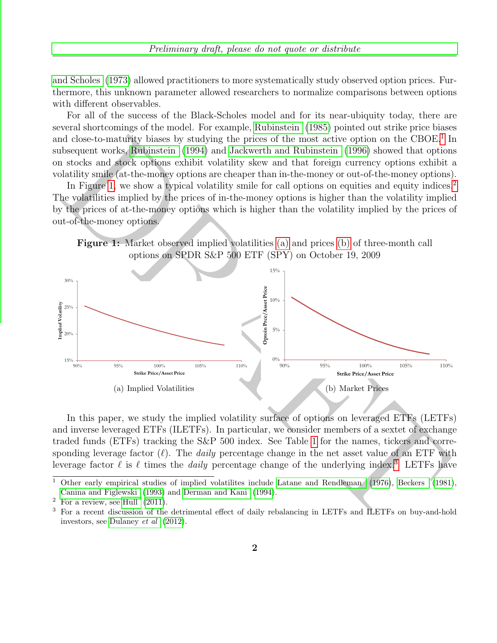[and Scholes](#page-20-0) [\(1973\)](#page-20-0) allowed practitioners to more systematically study observed option prices. Furthermore, this unknown parameter allowed researchers to normalize comparisons between options with different observables.

For all of the success of the Black-Scholes model and for its near-ubiquity today, there are several shortcomings of the model. For example, [Rubinstein](#page-22-0) [\(1985\)](#page-22-0) pointed out strike price biases and close-to-maturity biases by studying the prices of the most active option on the CBOE.<sup>1</sup> In subsequent works, Rubinstein (1994) and Jackwerth and Rubinstein (1996) showed that options on stocks and stock options exhibit volatility skew and that foreign currency options exhibit a volatility smile (at-the-money options are cheaper than in-the-money or out-of-the-money options).

In Figure 1, we show a typical volatility smile for call options on equities and equity indices.<sup>[2](#page-0-0)</sup> The volatilities implied by the prices of in-the-money options is higher than the volatility implied by the prices of at-the-money options which is higher than the volatility implied by the prices of out-of-the-money options.

<span id="page-1-1"></span>



<span id="page-1-0"></span>In this paper, we study the implied volatility surface of options on leveraged ETFs (LETFs) and inverse leveraged ETFs (ILETFs). In particular, we consider members of a sextet of exchange traded funds (ETFs) tracking the S&P 500 index. See Table 1 for the names, tickers and corresponding leverage factor  $(\ell)$ . The *daily* percentage change in the net asset value of an ETF with leverage factor  $\ell$  is  $\ell$  times the *daily* percentage change of the underlying index.<sup>3</sup> LETFs have

<sup>1</sup> Other early empirical studies of implied volatilites include Latane and Rendleman (1976), Beckers (1981), Canina and Figlewski (1993) and Derman and Kani (1994).

<sup>&</sup>lt;sup>2</sup> For a review, see Hull  $(2011)$ .<br><sup>3</sup> For a recent discussion of the

<sup>3</sup> For a recent discussion of the detrimental effect of daily rebalancing in LETFs and ILETFs on buy-and-hold investors, see Dulaney et al (2012).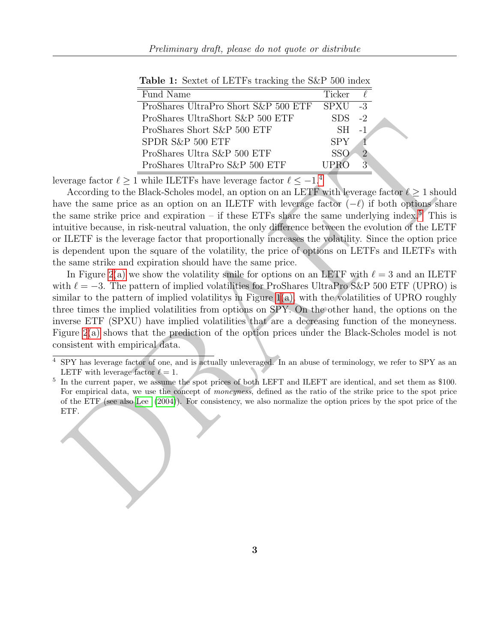| Fund Name                            | Ticker     |      |  |
|--------------------------------------|------------|------|--|
| ProShares UltraPro Short S&P 500 ETF | SPXU       | $-3$ |  |
| ProShares UltraShort S&P 500 ETF     | <b>SDS</b> | $-2$ |  |
| ProShares Short S&P 500 ETF          | $SH = 1$   |      |  |
| SPDR S&P 500 ETF                     | <b>SPY</b> |      |  |
| ProShares Ultra S&P 500 ETF          | SSO        |      |  |
| ProShares UltraPro S&P 500 ETF       |            |      |  |

Table 1: Sextet of LETFs tracking the S&P 500 index

leverage factor  $\ell \geq 1$  while ILETFs have leverage factor  $\ell \leq -1$ .<sup>4</sup>

According to the Black-Scholes model, an option on an LETF with leverage factor  $\ell \geq 1$  should have the same price as an option on an ILETF with leverage factor  $(-\ell)$  if both options share the same strike price and expiration – if these ETFs share the same underlying index.<sup>5</sup> This is intuitive because, in risk-neutral valuation, the only difference between the evolution of the LETF or ILETF is the leverage factor that proportionally increases the volatility. Since the option price is dependent upon the square of the volatility, the price of options on LETFs and ILETFs with the same strike and expiration should have the same price.

<span id="page-2-0"></span>Problems Of tracket 2010 ETF S108 22<br>
Problems Short S&P 500 ETF S10 22<br>
Problems Short S&P 500 ETF SF 24<br>
SP[DR](#page-21-6) S4C 500 E[T](#page-0-0)F SEV 2<br>
Problems UltraPro S&P 500 ETF SPN 2<br>
Problems UltraPro S&P 500 ETF SPN 2<br>
According to the In Figure 2(a) we show the volatility smile for options on an LETF with  $\ell = 3$  and an ILETF with  $\ell = -3$ . The pattern of implied volatilities for ProShares UltraPro S&P 500 ETF (UPRO) is similar to the pattern of implied volatilitys in Figure  $1(a)$ , with the volatilities of UPRO roughly three times the implied volatilities from options on SPY. On the other hand, the options on the inverse ETF (SPXU) have implied volatilities that are a decreasing function of the moneyness. Figure 2(a) shows that the prediction of the option prices under the Black-Scholes model is not consistent with empirical data.

<sup>4</sup> SPY has leverage factor of one, and is actually unleveraged. In an abuse of terminology, we refer to SPY as an LETF with leverage factor  $\ell = 1$ .

<sup>&</sup>lt;sup>5</sup> In the current paper, we assume the spot prices of both LEFT and ILEFT are identical, and set them as \$100. For empirical data, we use the concept of moneyness, defined as the ratio of the strike price to the spot price of the ETF (see also Lee (2004)). For consistency, we also normalize the option prices by the spot price of the ETF.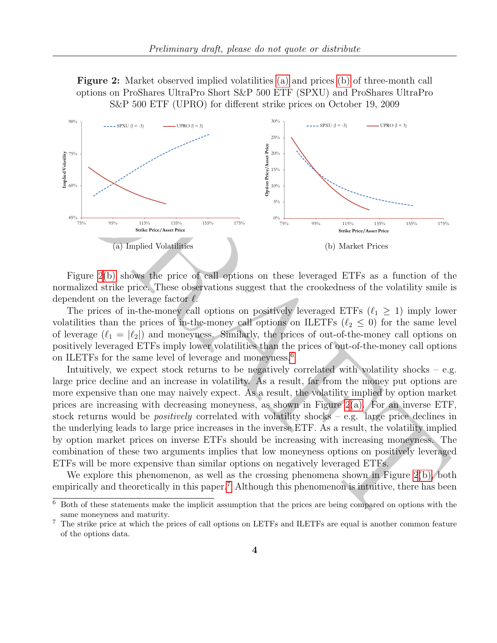Figure 2: Market observed implied volatilities [\(a\)](#page-3-1) and prices [\(b\)](#page-3-0) of three-month call options on ProShares UltraPro Short S&P 500 ETF (SPXU) and ProShares UltraPro S&P 500 ETF (UPRO) for different strike prices on October 19, 2009

<span id="page-3-1"></span>

<span id="page-3-0"></span>Figure 2(b) shows the price of call options on these leveraged ETFs as a function of the normalized strike price. These observations suggest that the crookedness of the volatility smile is dependent on the leverage factor  $\ell$ .

The prices of in-the-money call options on positively leveraged ETFs  $(\ell_1 \geq 1)$  imply lower volatilities than the prices of in-the-money call options on ILETFs ( $\ell_2 \leq 0$ ) for the same level of leverage  $(\ell_1 = |\ell_2|)$  and moneyness. Similarly, the prices of out-of-the-money call options on positively leveraged ETFs imply lower volatilities than the prices of out-of-the-money call options on ILETFs for the same level of leverage and moneyness.<sup>6</sup>

Intuitively, we expect stock returns to be negatively correlated with volatility shocks – e.g. large price decline and an increase in volatility. As a result, far from the money put options are more expensive than one may naively expect. As a result, the volatility implied by option market prices are increasing with decreasing moneyness, as shown in Figure 2(a). For an inverse ETF, stock returns would be *positively* correlated with volatility shocks – e.g. large price declines in the underlying leads to large price increases in the inverse ETF. As a result, the volatility implied by option market prices on inverse ETFs should be increasing with increasing moneyness. The combination of these two arguments implies that low moneyness options on positively leveraged ETFs will be more expensive than similar options on negatively leveraged ETFs.

We explore this phenomenon, as well as the crossing phenomena shown in Figure 2(b), both empirically and theoretically in this paper.<sup>7</sup> Although this phenomenon is intuitive, there has been

<sup>6</sup> Both of these statements make the implicit assumption that the prices are being compared on options with the same moneyness and maturity.

<sup>7</sup> The strike price at which the prices of call options on LETFs and ILETFs are equal is another common feature of the options data.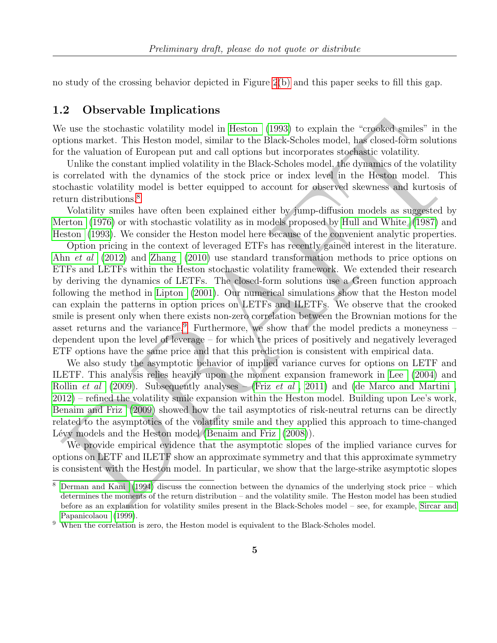no study of the crossing behavior depicted in Figure [2\(b\)](#page-3-0) and this paper seeks to fill this gap.

### 1.2 Observable Implications

We use the stochastic volatility model in Heston (1993) to explain the "crooked smiles" in the options market. This Heston model, similar to the Black-Scholes model, has closed-form solutions for the valuation of European put and call options but incorporates stochastic volatility.

Unlike the constant implied volatility in the Black-Scholes model, the dynamics of the volatility is correlated with the dynamics of the stock price or index level in the Heston model. This stochastic volatility model is better equipped to account for observed skewness and kurtosis of return distributions.<sup>8</sup>

Volatility smiles have often been explained either by jump-diffusion models as suggested by [Merton](#page-21-7) (1976) or with stochastic volatility as in models proposed by Hull and White (1987) and [Heston](#page-21-0) (1993). We consider the Heston model here because of the convenient analytic properties.

fe use the stochastic volatility model in Heston (1993) to explain the "crofice) smiles" in this interval volume market. This listen model, similar to the Black-Scholes model, this closed-form solutions market. This liste Option pricing in the context of leveraged ETFs has recently gained interest in the literature. Ahn *et al* (2012) and Zhang (2010) use standard transformation methods to price options on ETFs and LETFs within the Heston stochastic volatility framework. We extended their research by deriving the dynamics of LETFs. The closed-form solutions use a Green function approach following the method in Lipton (2001). Our numerical simulations show that the Heston model can explain the patterns in option prices on LETFs and ILETFs. We observe that the crooked smile is present only when there exists non-zero correlation between the Brownian motions for the asset returns and the variance.<sup>9</sup> Furthermore, we show that the model predicts a moneyness – dependent upon the level of leverage – for which the prices of positively and negatively leveraged ETF options have the same price and that this prediction is consistent with empirical data.

We also study the asymptotic behavior of implied variance curves for options on LETF and ILETF. This analysis relies heavily upon the moment expansion framework in Lee (2004) and Rollin *et al* (2009). Subsequently analyses – (Friz *et al*, 2011) and (de Marco and Martini, [2012\)](#page-20-4) – refined the volatility smile expansion within the Heston model. Building upon Lee's work, Benaim and Friz (2009) showed how the tail asymptotics of risk-neutral returns can be directly related to the asymptotics of the volatility smile and they applied this approach to time-changed Lévy models and the Heston model (Benaim and Friz  $(2008)$ ).

We provide empirical evidence that the asymptotic slopes of the implied variance curves for options on LETF and ILETF show an approximate symmetry and that this approximate symmetry is consistent with the Heston model. In particular, we show that the large-strike asymptotic slopes

<sup>8</sup> Derman and Kani (1994) discuss the connection between the dynamics of the underlying stock price – which determines the moments of the return distribution – and the volatility smile. The Heston model has been studied before as an explanation for volatility smiles present in the Black-Scholes model – see, for example, [Sircar and](#page-22-3) [Papanicolaou](#page-22-3) [\(1999\)](#page-22-3).

<sup>9</sup> When the correlation is zero, the Heston model is equivalent to the Black-Scholes model.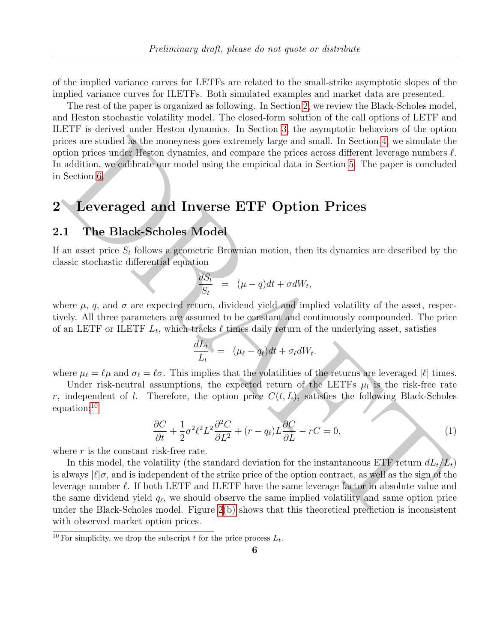of the implied variance curves for LETFs are related to the small-strike asymptotic slopes of the implied variance curves for ILETFs. Both simulated examples and market data are presented.

The rest of the paper is organized as following. In Section [2,](#page-5-0) we review the Black-Scholes model, and Heston stochastic volatility model. The closed-form solution of the call options of LETF and ILETF is derived under Heston dynamics. In Section [3,](#page-7-0) the asymptotic behaviors of the option prices are studied as the moneyness goes extremely large and small. In Section 4, we simulate the option prices under Heston dynamics, and compare the prices across different leverage numbers  $\ell$ . In addition, we calibrate our model using the empirical data in Section 5. The paper is concluded in Section 6.

## <span id="page-5-0"></span>2 Leveraged and Inverse ETF Option Prices

### <span id="page-5-1"></span>2.1 The Black-Scholes Model

If an asset price  $S_t$  follows a geometric Brownian motion, then its dynamics are described by the classic stochastic differential equation

$$
\frac{dS_t}{S_t} = (\mu - q)dt + \sigma dW_t,
$$

where  $\mu$ , q, and  $\sigma$  are expected return, dividend yield and implied volatility of the asset, respectively. All three parameters are assumed to be constant and continuously compounded. The price of an LETF or ILETF  $L_t$ , which tracks  $\ell$  times daily return of the underlying asset, satisfies

$$
\frac{dL_t}{L_t} = (\mu_{\ell} - q_{\ell})dt + \sigma_{\ell}dW_t.
$$

where  $\mu_{\ell} = \ell \mu$  and  $\sigma_{\ell} = \ell \sigma$ . This implies that the volatilities of the returns are leveraged  $|\ell|$  times.

Under risk-neutral assumptions, the expected return of the LETFs  $\mu_l$  is the risk-free rate r, independent of *l*. Therefore, the option price  $C(t, L)$ , satisfies the following Black-Scholes

$$
\frac{\partial C}{\partial t} + \frac{1}{2}\sigma^2 \ell^2 L^2 \frac{\partial^2 C}{\partial L^2} + (r - q_\ell) L \frac{\partial C}{\partial L} - rC = 0,
$$
\n(1)

where  $r$  is the constant risk-free rate.

equation:<sup>10</sup>

ices are studied as the moneyanes goes extremely lange and small. In Section 4, we simulate the<br>identical prices under Restor dynamics, and compare the prices access different leverage numbers<br>did in , we calibrate our mo In this model, the volatility (the standard deviation for the instantaneous ETF return  $dL_t/L_t$ ) is always  $|\ell|\sigma$ , and is independent of the strike price of the option contract, as well as the sign of the leverage number  $\ell$ . If both LETF and ILETF have the same leverage factor in absolute value and the same dividend yield  $q_\ell$ , we should observe the same implied volatility and same option price under the Black-Scholes model. Figure 2(b) shows that this theoretical prediction is inconsistent with observed market option prices.

<sup>&</sup>lt;sup>10</sup> For simplicity, we drop the subscript t for the price process  $L_t$ .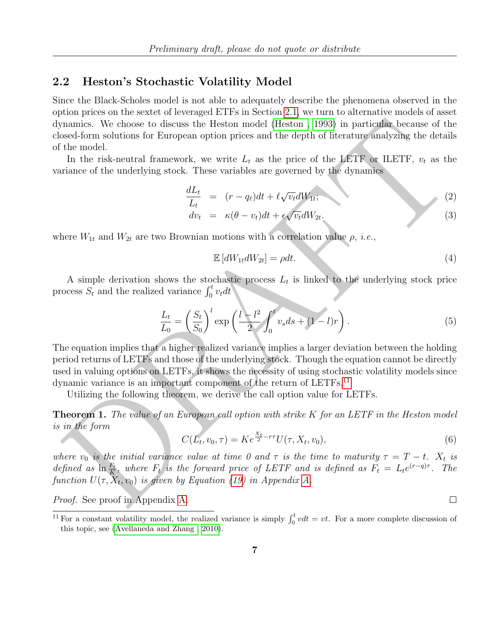### 2.2 Heston's Stochastic Volatility Model

Since the Black-Scholes model is not able to adequately describe the phenomena observed in the option prices on the sextet of leveraged ETFs in Section [2.1,](#page-5-1) we turn to alternative models of asset dynamics. We choose to discuss the Heston model (Heston , 1993) in particular because of the closed-form solutions for European option prices and the depth of literature analyzing the details of the model.

In the risk-neutral framework, we write  $L_t$  as the price of the LETF or ILETF,  $v_t$  as the variance of the underlying stock. These variables are governed by the dynamics

<span id="page-6-0"></span>
$$
\frac{dL_t}{L_t} = (r - q_\ell)dt + \ell \sqrt{v_t} dW_{1t};
$$
\n
$$
dv_t = \kappa(\theta - v_t)dt + \epsilon \sqrt{v_t} dW_{2t}.
$$
\n(2)

where  $W_{1t}$  and  $W_{2t}$  are two Brownian motions with a correlation value  $\rho$ , *i.e.*,

$$
\mathbb{E}\left[dW_{1t}dW_{2t}\right] = \rho dt. \tag{4}
$$

A simple derivation shows the stochastic process  $L_t$  is linked to the underlying stock price process  $\overrightarrow{S_t}$  and the realized variance  $\int_0^t v_t dt$ 

$$
\frac{L_t}{L_0} = \left(\frac{S_t}{S_0}\right)^l \exp\left(\frac{l - l^2}{2} \int_0^t v_s ds + (1 - l)r\right). \tag{5}
$$

mannics. We choose to discuss the Heston model (Heston , 1993) in particular because of the model.<br>
See therm solutions for European option prices and the depth of literature analyzing the details<br>
In the risk-neutral fra The equation implies that a higher realized variance implies a larger deviation between the holding period returns of LETFs and those of the underlying stock. Though the equation cannot be directly used in valuing options on LETFs, it shows the necessity of using stochastic volatility models since dynamic variance is an important component of the return of LETFs.<sup>11</sup>

Utilizing the following theorem, we derive the call option value for LETFs.

<span id="page-6-1"></span>**Theorem 1.** The value of an European call option with strike  $K$  for an LETF in the Heston model is in the form

$$
C(L_t, v_0, \tau) = Ke^{\frac{X_t}{2} - r\tau} U(\tau, X_t, v_0),
$$
\n(6)

where  $v_0$  is the initial variance value at time 0 and  $\tau$  is the time to maturity  $\tau = T - t$ .  $X_t$  is defined as  $\ln \frac{F_t}{K}$ , where  $F_t$  is the forward price of LETF and is defined as  $F_t = L_t e^{(r-q)\tau}$ . The function  $U(\tau, X_t, v_0)$  is given by Equation (19) in Appendix A.

Proof. See proof in Appendix A.

<sup>&</sup>lt;sup>11</sup> For a constant volatility model, the realized variance is simply  $\int_0^t v dt = vt$ . For a more complete discussion of this topic, see [\(Avellaneda and Zhang , 2010\)](#page-20-7).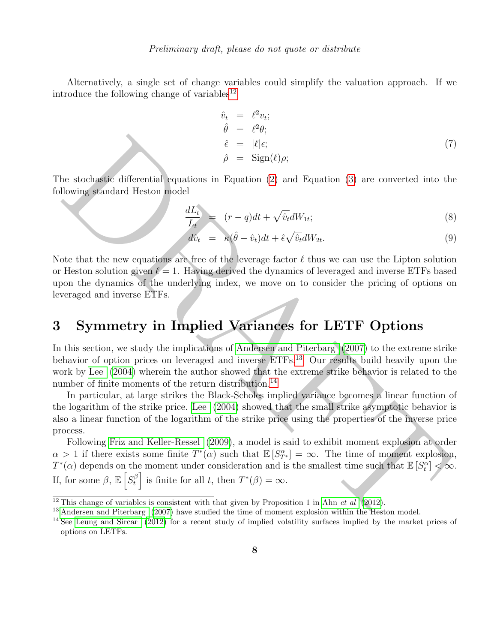Alternatively, a single set of change variables could simplify the valuation approach. If we introduce the following change of variables<sup>[12](#page-0-0)</sup>

<span id="page-7-1"></span>
$$
\begin{array}{rcl}\n\hat{v}_t &=& \ell^2 v_t; \\
\hat{\theta} &=& \ell^2 \theta; \\
\hat{\epsilon} &=& |\ell|\epsilon; \\
\hat{\rho} &=& \text{Sign}(\ell)\rho;\n\end{array} \tag{7}
$$

The stochastic differential equations in Equation (2) and Equation (3) are converted into the following standard Heston model

$$
\frac{dL_t}{L_t} = (r - q)dt + \sqrt{\hat{v}_t}dW_{1t};
$$
\n(8)

$$
d\hat{v}_t = \kappa(\hat{\theta} - \hat{v}_t)dt + \hat{\epsilon}\sqrt{\hat{v}_t}dW_{2t}.
$$
\n(9)

Note that the new equations are free of the leverage factor  $\ell$  thus we can use the Lipton solution or Heston solution given  $\ell = 1$ . Having derived the dynamics of leveraged and inverse ETFs based upon the dynamics of the underlying index, we move on to consider the pricing of options on leveraged and inverse ETFs.

# <span id="page-7-0"></span>3 Symmetry in Implied Variances for LETF Options

In this section, we study the implications of Andersen and Piterbarg (2007) to the extreme strike behavior of option prices on leveraged and inverse ETFs.<sup>13</sup> Our results build heavily upon the work by Lee (2004) wherein the author showed that the extreme strike behavior is related to the number of finite moments of the return distribution.<sup>14</sup>

In particular, at large strikes the Black-Scholes implied variance becomes a linear function of the logarithm of the strike price. Lee (2004) showed that the small strike asymptotic behavior is also a linear function of the logarithm of the strike price using the properties of the inverse price process.

 $\label{eq:2.1} \hat{\rho} = |t|e; \tag{7} \hat{\rho} = \text{Sign}(t)\rho; \tag{8} \hat{\rho} = \text{Sign}(t)\rho; \tag{9} \hat{\rho} = \text{Sign}(t)\rho; \tag{10} \hat{\rho} = \text{Sign}(t)\rho; \tag{11} \hat{\rho} = \text{Sign}(t)\rho; \tag{12} \hat{\rho} = \text{Rep}(t)\rho d + \hat{\epsilon}\sqrt{\hat{v}_d}dW_B; \tag{13} \hat{\rho} = \text{Rep}(t)\rho d + \hat{\epsilon}\sqrt{\hat{v}_d}dW_B; \tag{24} \hat{\rho} = \text{Rep}(t)\rho$ Following Friz and Keller-Ressel (2009), a model is said to exhibit moment explosion at order  $\alpha > 1$  if there exists some finite  $T^*(\alpha)$  such that  $\mathbb{E}[S^{\alpha}_{T^*}] = \infty$ . The time of moment explosion,  $T^*(\alpha)$  depends on the moment under consideration and is the smallest time such that  $\mathbb{E}[S_t^{\alpha}] < \infty$ . If, for some  $\beta$ ,  $\mathbb{E}\left[S_t^{\beta}\right]$  $\left[\begin{array}{c} \beta \\ t \end{array}\right]$  is finite for all t, then  $T^*(\beta) = \infty$ .

<sup>&</sup>lt;sup>12</sup> This change of variables is consistent with that given by Proposition 1 in Ahn *et al* (2012).

<sup>&</sup>lt;sup>13</sup> Andersen and Piterbarg (2007) have studied the time of moment explosion within the Heston model.

<sup>&</sup>lt;sup>14</sup> See Leung and Sircar (2012) for a recent study of implied volatility surfaces implied by the market prices of options on LETFs.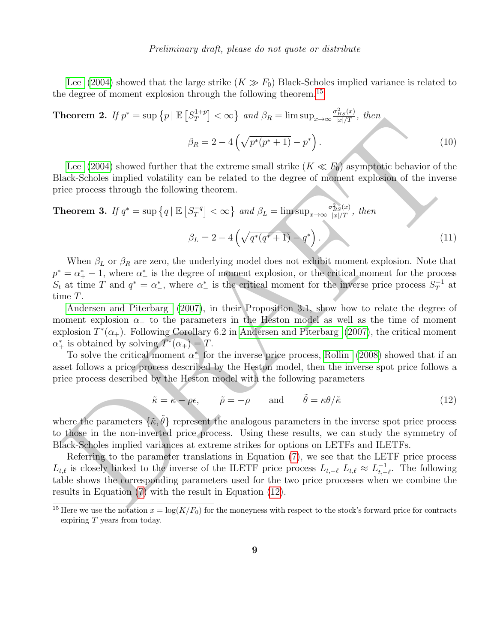[Lee](#page-21-6) [\(2004\)](#page-21-6) showed that the large strike  $(K \gg F_0)$  Black-Scholes implied variance is related to the degree of moment explosion through the following theorem.<sup>[15](#page-0-0)</sup>

### **Theorem 2.** If  $p^* = \sup \{p | \mathbb{E} [S_T^{1+p}] \}$  $\left[T\right]^{\{1+p\}} < \infty$ } and  $\beta_R = \limsup_{x \to \infty} \frac{\sigma_{BS}^2(x)}{|x|/T}$ , then  $\beta_R = 2 - 4\left(\sqrt{p^*(p^*+1)} - p^*\right)$  $(10)$

Lee (2004) showed further that the extreme small strike  $(K \ll F_0)$  asymptotic behavior of the Black-Scholes implied volatility can be related to the degree of moment explosion of the inverse price process through the following theorem.

# **EVALUATION** Interesting the same of  $\beta_R = 2 - 4\left(\sqrt{p^*(p^* - 1)} - p^*\right)$ . (10<br>
Lee (2004) showed further that the extreme small strike  $(K \ll E_0)$  asymptotic behavior of the<br>
lect Scholes implied velatility can be related to t Theorem 3. If  $q^* = \sup \left\{ q \mid \mathbb{E} \left[ S_T^{-q} \right] \right\}$  $\left[T^q\right] < \infty$  and  $\beta_L = \limsup_{x \to \infty} \frac{\sigma_{BS}^2(x)}{|x|/T}$ , then  $\beta_L = 2 - 4\left(\sqrt{q^*(q^*+1)} - q^*\right).$  (11)

When  $\beta_L$  or  $\beta_R$  are zero, the underlying model does not exhibit moment explosion. Note that  $p^* = \alpha_+^* - 1$ , where  $\alpha_+^*$  is the degree of moment explosion, or the critical moment for the process  $S_t$  at time T and  $q^* = \alpha^*$ , where  $\alpha^*$  is the critical moment for the inverse price process  $S_T^{-1}$  $T^{-1}$  at time T.

Andersen and Piterbarg (2007), in their Proposition 3.1, show how to relate the degree of moment explosion  $\alpha_+$  to the parameters in the Heston model as well as the time of moment explosion  $T^*(\alpha_+)$ . Following Corollary 6.2 in Andersen and Piterbarg (2007), the critical moment  $\alpha^*$  is obtained by solving  $T^*(\alpha_+) = T$ .

To solve the critical moment  $\alpha^*$  for the inverse price process, Rollin (2008) showed that if an asset follows a price process described by the Heston model, then the inverse spot price follows a price process described by the Heston model with the following parameters

<span id="page-8-0"></span>
$$
\tilde{\kappa} = \kappa - \rho \epsilon, \qquad \tilde{\rho} = -\rho \qquad \text{and} \qquad \tilde{\theta} = \kappa \theta / \tilde{\kappa} \tag{12}
$$

where the parameters  $\{\tilde{\kappa}, \tilde{\theta}\}$  represent the analogous parameters in the inverse spot price process to those in the non-inverted price process. Using these results, we can study the symmetry of Black-Scholes implied variances at extreme strikes for options on LETFs and ILETFs.

Referring to the parameter translations in Equation (7), we see that the LETF price process  $L_{t,\ell}$  is closely linked to the inverse of the ILETF price process  $L_{t,-\ell}$   $L_{t,\ell} \approx L_{t,-\ell}^{-1}$  $t, -\ell$ . The following table shows the corresponding parameters used for the two price processes when we combine the results in Equation (7) with the result in Equation (12).

<sup>&</sup>lt;sup>15</sup> Here we use the notation  $x = \log(K/F_0)$  for the moneyness with respect to the stock's forward price for contracts expiring T years from today.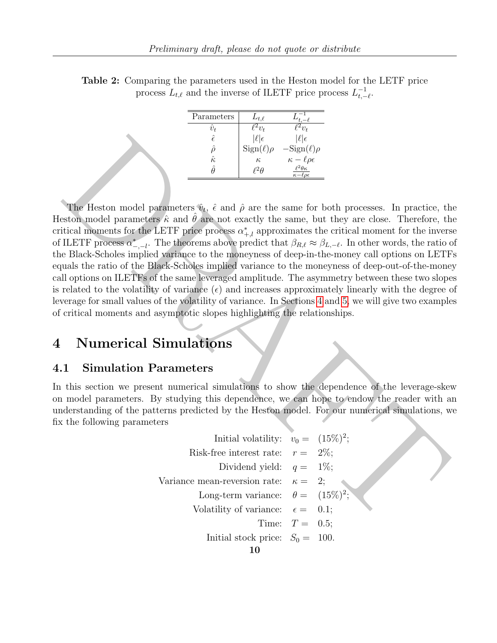| Parameters     | $L_{t,\ell}$       |                                                              |
|----------------|--------------------|--------------------------------------------------------------|
| $\hat{v}_t$    | $\mathbb{Z}_{v_t}$ | $\mathcal{C}_{v_t}$                                          |
| ê              | $ \ell \epsilon$   | $ \ell \epsilon$                                             |
|                | $Sign(\ell)\rho$   | $-\mathrm{Sign}(\ell)\rho$                                   |
| $\hat{\kappa}$ | $\kappa$           | $\kappa-\ell\rho\epsilon$                                    |
|                | -Ή                 | $\ell^2\theta\kappa$<br>$\overline{\kappa-\ell\rho\epsilon}$ |

Table 2: Comparing the parameters used in the Heston model for the LETF price process  $L_{t,\ell}$  and the inverse of ILETF price process  $L_{t,-}^{-1}$  $\frac{-1}{t,-\ell}$ .

 $\oint_{\hat{\mathcal{B}}} \mathbf{S}_{\text{SP}}(t) \rho = \frac{|\xi|_0}{2\pi\epsilon_0}$ <br>  $\frac{\partial}{\partial t} \mathbf{S}_{\text{SP}}(t) \rho = \frac{|\xi|_0}{2\pi\epsilon_0}$ <br>
The Heston model parameters  $\hat{\mathbf{v}}_0$ ,  $\hat{\epsilon}$  and  $\hat{\rho}$  are the same for both processes. In practice, the station model The Heston model parameters  $\hat{v}_t$ ,  $\hat{\epsilon}$  and  $\hat{\rho}$  are the same for both processes. In practice, the Heston model parameters  $\hat{\kappa}$  and  $\hat{\theta}$  are not exactly the same, but they are close. Therefore, the critical moments for the LETF price process  $\alpha_{+,l}^*$  approximates the critical moment for the inverse of ILETF process  $\alpha^*_{-,-l}$ . The theorems above predict that  $\beta_{R,\ell} \approx \beta_{L,-\ell}$ . In other words, the ratio of the Black-Scholes implied variance to the moneyness of deep-in-the-money call options on LETFs equals the ratio of the Black-Scholes implied variance to the moneyness of deep-out-of-the-money call options on ILETFs of the same leveraged amplitude. The asymmetry between these two slopes is related to the volatility of variance  $(\epsilon)$  and increases approximately linearly with the degree of leverage for small values of the volatility of variance. In Sections 4 and 5, we will give two examples of critical moments and asymptotic slopes highlighting the relationships.

## <span id="page-9-0"></span>4 Numerical Simulations

### 4.1 Simulation Parameters

In this section we present numerical simulations to show the dependence of the leverage-skew on model parameters. By studying this dependence, we can hope to endow the reader with an understanding of the patterns predicted by the Heston model. For our numerical simulations, we fix the following parameters

Initial volatility: 
$$
v_0 = (15\%)^2
$$
;  
\nRisk-free interest rate:  $r = 2\%$ ;  
\nDividend yield:  $q = 1\%$ ;  
\nVariance mean-reversion rate:  $\kappa = 2$ ;  
\nLong-term variance:  $\theta = (15\%)^2$ ;  
\nVolatility of variance:  $\epsilon = 0.1$ ;  
\nTime:  $T = 0.5$ ;  
\nInitial stock price:  $S_0 = 100$ .  
\n10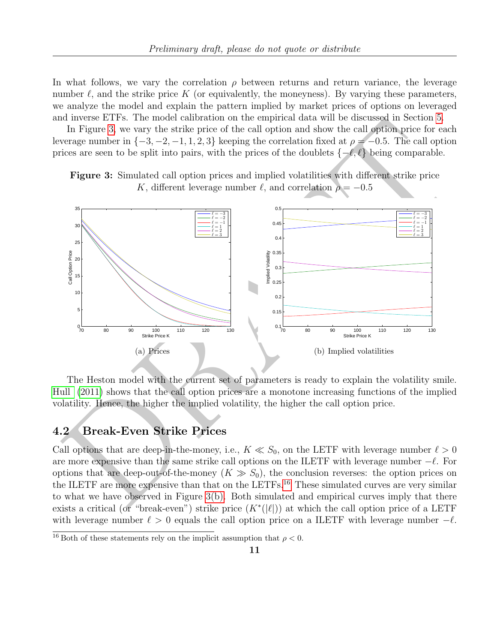In what follows, we vary the correlation  $\rho$  between returns and return variance, the leverage number  $\ell$ , and the strike price K (or equivalently, the moneyness). By varying these parameters, we analyze the model and explain the pattern implied by market prices of options on leveraged and inverse ETFs. The model calibration on the empirical data will be discussed in Section [5.](#page-15-0)

In Figure 3, we vary the strike price of the call option and show the call option price for each leverage number in  $\{-3, -2, -1, 1, 2, 3\}$  keeping the correlation fixed at  $\rho = -0.5$ . The call option prices are seen to be split into pairs, with the prices of the doublets  $\{-\ell, \ell\}$  being comparable.

Figure 3: Simulated call option prices and implied volatilities with different strike price K, different leverage number  $\ell$ , and correlation  $\rho = -0.5$ 



<span id="page-10-0"></span>The Heston model with the current set of parameters is ready to explain the volatility smile. [Hull](#page-21-4) (2011) shows that the call option prices are a monotone increasing functions of the implied volatility. Hence, the higher the implied volatility, the higher the call option price.

### 4.2 Break-Even Strike Prices

Call options that are deep-in-the-money, i.e.,  $K \ll S_0$ , on the LETF with leverage number  $\ell > 0$ are more expensive than the same strike call options on the ILETF with leverage number  $-\ell$ . For options that are deep-out-of-the-money  $(K \gg S_0)$ , the conclusion reverses: the option prices on the ILETF are more expensive than that on the LETFs.<sup>16</sup> These simulated curves are very similar to what we have observed in Figure 3(b). Both simulated and empirical curves imply that there exists a critical (or "break-even") strike price  $(K^*(|\ell|))$  at which the call option price of a LETF with leverage number  $\ell > 0$  equals the call option price on a ILETF with leverage number  $-\ell$ .

 $\frac{16}{16}$  Both of these statements rely on the implicit assumption that  $\rho < 0$ .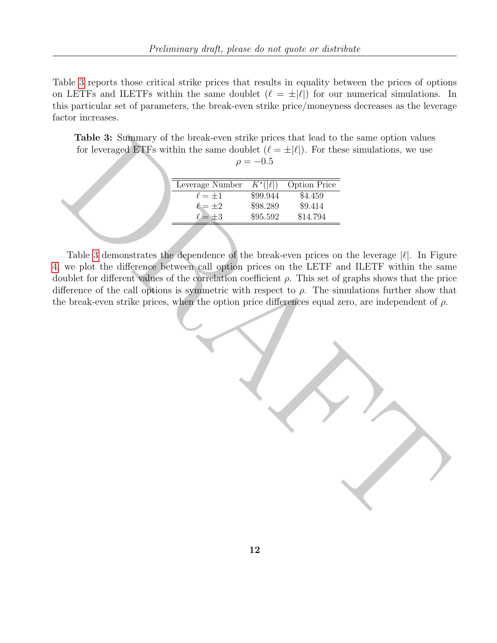Table [3](#page-11-0) reports those critical strike prices that results in equality between the prices of options on LETFs and ILETFs within the same doublet  $(\ell = \pm |\ell|)$  for our numerical simulations. In this particular set of parameters, the break-even strike price/moneyness decreases as the leverage factor increases.

Table 3: Summary of the break-even strike prices that lead to the same option values for leveraged ETFs within the same doublet  $(\ell = \pm |\ell|)$ . For these simulations, we use  $\rho = -0.5$ 

| Leverage Number | $K^*( \ell )$ | <b>Option Price</b> |
|-----------------|---------------|---------------------|
| $\ell = \pm 1$  | \$99.944      | \$4.459             |
| $\ell = \pm 2$  | \$98.289      | \$9.414             |
| $\ell = \pm 3$  | \$95.592      | \$14.794            |
|                 |               |                     |

Table 3 demonstrates the dependence of the break-even prices on the leverage  $|\ell|$ . In Figure [4,](#page-12-0) we plot the difference between call option prices on the LETF and ILETF within the same doublet for different values of the correlation coefficient  $\rho$ . This set of graphs shows that the price difference of the call options is symmetric with respect to  $\rho$ . The simulations further show that the break-even strike prices, when the option price differences equal zero, are independent of  $\rho$ .

<span id="page-11-0"></span>Table 3 demonstrates the break-ween strike prices that lead to the same option values<br>for loweraged ETFs within the same doublet  $(\ell = \pm |\ell|)$ . For these simulations, we use<br> $\rho = -0.5$ <br> $\frac{1}{\ell \pm 4}$  = 869.954 81.179<br> $\ell = \pm$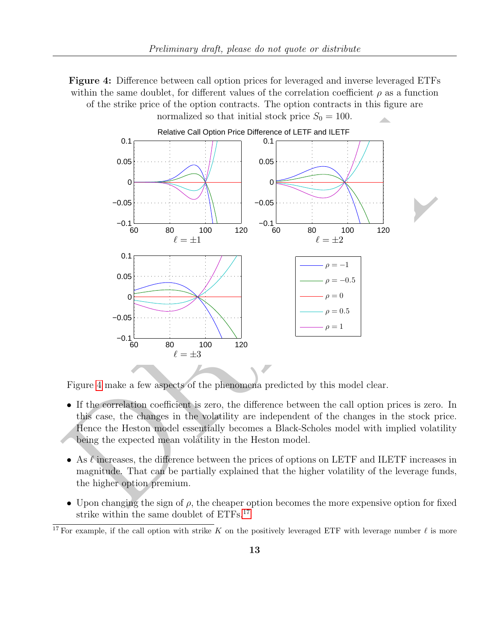<span id="page-12-0"></span>Figure 4: Difference between call option prices for leveraged and inverse leveraged ETFs within the same doublet, for different values of the correlation coefficient  $\rho$  as a function of the strike price of the option contracts. The option contracts in this figure are



Figure 4 make a few aspects of the phenomena predicted by this model clear.

- If the correlation coefficient is zero, the difference between the call option prices is zero. In this case, the changes in the volatility are independent of the changes in the stock price. Hence the Heston model essentially becomes a Black-Scholes model with implied volatility being the expected mean volatility in the Heston model.
- As  $\ell$  increases, the difference between the prices of options on LETF and ILETF increases in magnitude. That can be partially explained that the higher volatility of the leverage funds, the higher option premium.
- Upon changing the sign of  $\rho$ , the cheaper option becomes the more expensive option for fixed strike within the same doublet of ETFs.<sup>[17](#page-0-0)</sup>

<sup>&</sup>lt;sup>17</sup> For example, if the call option with strike K on the positively leveraged ETF with leverage number  $\ell$  is more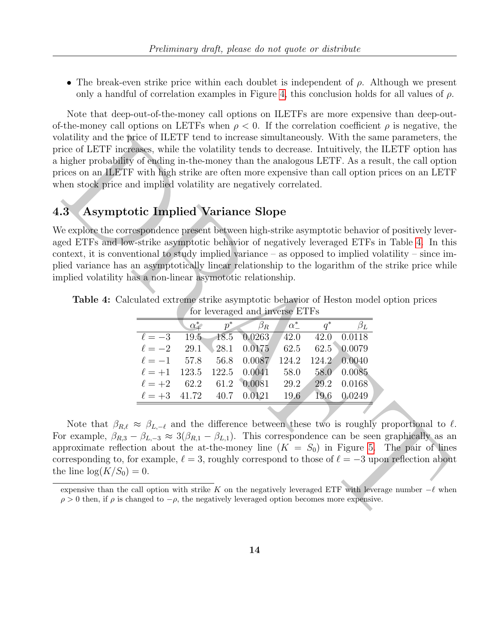• The break-even strike price within each doublet is independent of  $\rho$ . Although we present only a handful of correlation examples in Figure [4,](#page-12-0) this conclusion holds for all values of  $\rho$ .

Note that deep-out-of-the-money call options on ILETFs are more expensive than deep-outof-the-money call options on LETFs when  $\rho < 0$ . If the correlation coefficient  $\rho$  is negative, the volatility and the price of ILETF tend to increase simultaneously. With the same parameters, the price of LETF increases, while the volatility tends to decrease. Intuitively, the ILETF option has a higher probability of ending in-the-money than the analogous LETF. As a result, the call option prices on an ILETF with high strike are often more expensive than call option prices on an LETF when stock price and implied volatility are negatively correlated.

## 4.3 Asymptotic Implied Variance Slope

| or labelity and the price of ILETF tend to increase simultaneously. With the same parameters, the                                                                                                                            |            |                                |              |       |           |  |
|------------------------------------------------------------------------------------------------------------------------------------------------------------------------------------------------------------------------------|------------|--------------------------------|--------------|-------|-----------|--|
| ice of LETF increases, while the volatility tends to decrease. Intuitively, the ILETF option has<br>higher probability of ending in-the-money than the analogous LETF. As a result, the call option                          |            |                                |              |       |           |  |
| ices on an ILETF with high strike are often more expensive than call option prices on an LETI                                                                                                                                |            |                                |              |       |           |  |
| hen stock price and implied volatility are negatively correlated.                                                                                                                                                            |            |                                |              |       |           |  |
|                                                                                                                                                                                                                              |            |                                |              |       |           |  |
| <b>Asymptotic Implied Variance Slope</b><br>$\mathbf{3}$                                                                                                                                                                     |            |                                |              |       |           |  |
| e explore the correspondence present between high-strike asymptotic behavior of positively lever                                                                                                                             |            |                                |              |       |           |  |
| ed ETFs and low-strike asymptotic behavior of negatively leveraged ETFs in Table 4. In this                                                                                                                                  |            |                                |              |       |           |  |
| ntext, it is conventional to study implied variance $-$ as opposed to implied volatility $-$ since im                                                                                                                        |            |                                |              |       |           |  |
| ied variance has an asymptotically linear relationship to the logarithm of the strike price while                                                                                                                            |            |                                |              |       |           |  |
| political volatility has a non-linear asymptotic relationship.                                                                                                                                                               |            |                                |              |       |           |  |
|                                                                                                                                                                                                                              |            |                                |              |       |           |  |
| <b>Table 4:</b> Calculated extreme strike asymptotic behavior of Heston model option prices                                                                                                                                  |            |                                |              |       |           |  |
|                                                                                                                                                                                                                              |            | for leveraged and inverse ETFs |              |       |           |  |
|                                                                                                                                                                                                                              | $\alpha^*$ | $p^*$<br>$\beta_R$             | $\alpha^*_-$ | $q^*$ | $\beta_L$ |  |
| $\ell=-3$                                                                                                                                                                                                                    | 19.5       | 18.5<br>0.0263                 | 42.0         | 42.0  | 0.0118    |  |
| $\ell=-2$                                                                                                                                                                                                                    | 29.1       | 0.0175<br>28.1                 | 62.5         | 62.5  | 0.0079    |  |
| $\ell=-1$                                                                                                                                                                                                                    | 57.8       | 56.8<br>0.0087                 | 124.2        | 124.2 | 0.0040    |  |
| $\ell = +1$                                                                                                                                                                                                                  | 123.5      | 0.0041<br>122.5                | 58.0         | 58.0  | 0.0085    |  |
| $\ell = +2$                                                                                                                                                                                                                  | 62.2       | 0.0081<br>61.2                 | 29.2         | 29.2  | 0.0168    |  |
| $\ell=+3$                                                                                                                                                                                                                    | 41.72      | 40.7<br>0.0121                 | 19.6         | 19.6  | 0.0249    |  |
|                                                                                                                                                                                                                              |            |                                |              |       |           |  |
| Note that $\beta_{R,\ell} \approx \beta_{L,-\ell}$ and the difference between these two is roughly proportional to $\ell$                                                                                                    |            |                                |              |       |           |  |
| or example, $\beta_{R,3} - \beta_{L,-3} \approx 3(\beta_{R,1} - \beta_{L,1})$ . This correspondence can be seen graphically as an                                                                                            |            |                                |              |       |           |  |
| proximate reflection about the at-the-money line $(K = S_0)$ in Figure 5. The pair of line                                                                                                                                   |            |                                |              |       |           |  |
| parameter is to the example, $\ell = 3$ , roughly correspond to those of $\ell = -3$ upon reflection about                                                                                                                   |            |                                |              |       |           |  |
| e line $log(K/S_0) = 0$ .                                                                                                                                                                                                    |            |                                |              |       |           |  |
|                                                                                                                                                                                                                              |            |                                |              |       |           |  |
| expensive than the call option with strike K on the negatively leveraged ETF with leverage number $-\ell$ when<br>$\rho > 0$ then, if $\rho$ is changed to $-\rho$ , the negatively leveraged option becomes more expensive. |            |                                |              |       |           |  |
|                                                                                                                                                                                                                              |            |                                |              |       |           |  |
|                                                                                                                                                                                                                              |            |                                |              |       |           |  |
|                                                                                                                                                                                                                              |            |                                |              |       |           |  |

<span id="page-13-0"></span>Table 4: Calculated extreme strike asymptotic behavior of Heston model option prices for leveraged and inverse ETFs

expensive than the call option with strike K on the negatively leveraged ETF with leverage number  $-\ell$  when  $\rho > 0$  then, if  $\rho$  is changed to  $-\rho$ , the negatively leveraged option becomes more expensive.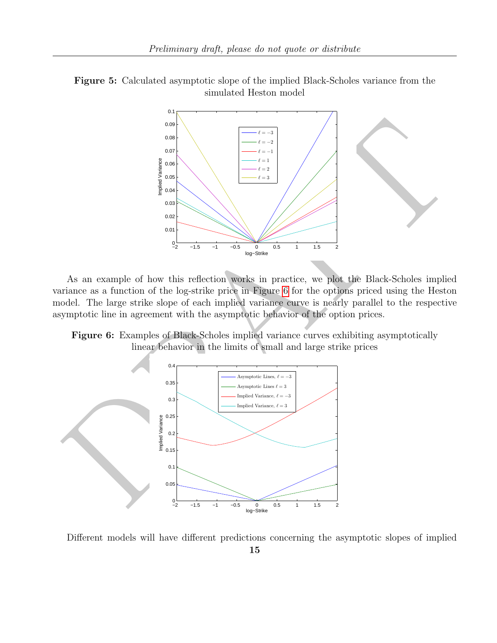<span id="page-14-0"></span>



As an example of how this reflection works in practice, we plot the Black-Scholes implied variance as a function of the log-strike price in Figure 6 for the options priced using the Heston model. The large strike slope of each implied variance curve is nearly parallel to the respective asymptotic line in agreement with the asymptotic behavior of the option prices.

<span id="page-14-1"></span>Figure 6: Examples of Black-Scholes implied variance curves exhibiting asymptotically linear behavior in the limits of small and large strike prices



Different models will have different predictions concerning the asymptotic slopes of implied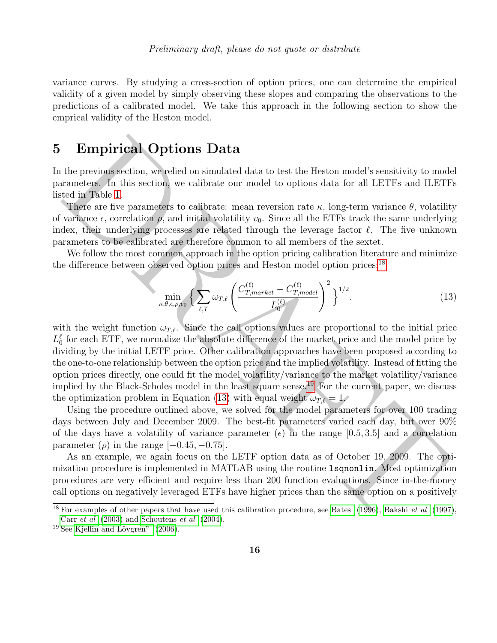variance curves. By studying a cross-section of option prices, one can determine the empirical validity of a given model by simply observing these slopes and comparing the observations to the predictions of a calibrated model. We take this approach in the following section to show the emprical validity of the Heston model.

# 5 Empirical Options Data

In the previous section, we relied on simulated data to test the Heston model's sensitivity to model parameters. In this section, we calibrate our model to options data for all LETFs and ILETFs listed in Table 1.

There are five parameters to calibrate: mean reversion rate  $\kappa$ , long-term variance  $\theta$ , volatility of variance  $\epsilon$ , correlation  $\rho$ , and initial volatility  $v_0$ . Since all the ETFs track the same underlying index, their underlying processes are related through the leverage factor  $\ell$ . The five unknown parameters to be calibrated are therefore common to all members of the sextet.

We follow the most common approach in the option pricing calibration literature and minimize the difference between observed option prices and Heston model option prices:<sup>18</sup>

<span id="page-15-1"></span>
$$
\min_{\kappa,\theta,\epsilon,\rho,v_0} \left\{ \sum_{\ell,T} \omega_{T,\ell} \left( \frac{C_{T,max\,ket{C}}^{(\ell)} - C_{T,model}^{(\ell)}}{L_0^{(\ell)}} \right)^2 \right\}^{1/2}.
$$
\n(13)

<span id="page-15-0"></span>**Empirical Options [D](#page-2-0)ata**<br>the provints section, we relied on simulated data to test the Heston model's sensitivity to modera<br>meters. In this section, we calibrate our model to options data for all LE[T](#page-20-10)Fs and ILETF<br>when the with the weight function  $\omega_{T,\ell}$ . Since the call options values are proportional to the initial price  $L_0^{\ell}$  for each ETF, we normalize the absolute difference of the market price and the model price by dividing by the initial LETF price. Other calibration approaches have been proposed according to the one-to-one relationship between the option price and the implied volatility. Instead of fitting the option prices directly, one could fit the model volatility/variance to the market volatility/variance implied by the Black-Scholes model in the least square sense.<sup>19</sup> For the current paper, we discuss the optimization problem in Equation (13) with equal weight  $\omega_{T,\ell} = 1$ .

Using the procedure outlined above, we solved for the model parameters for over 100 trading days between July and December 2009. The best-fit parameters varied each day, but over 90% of the days have a volatility of variance parameter  $(\epsilon)$  in the range [0.5, 3.5] and a correlation parameter  $(\rho)$  in the range [−0.45, −0.75].

As an example, we again focus on the LETF option data as of October 19, 2009. The optimization procedure is implemented in MATLAB using the routine lsqnonlin. Most optimization procedures are very efficient and require less than 200 function evaluations. Since in-the-money call options on negatively leveraged ETFs have higher prices than the same option on a positively

<sup>&</sup>lt;sup>18</sup> For examples of other papers that have used this calibration procedure, see Bates (1996), Bakshi *et al* (1997), Carr et al (2003) and Schoutens et al (2004).

 $19$  See Kjellin and Lövgren" [\(2006\)](#page-21-15).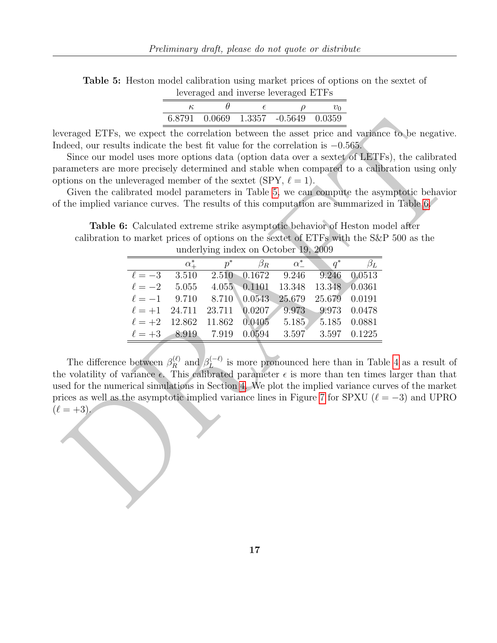<span id="page-16-0"></span>Table 5: Heston model calibration using market prices of options on the sextet of leveraged and inverse leveraged ETFs

|  | 6.8791 0.0669 1.3357 -0.5649 0.0359 |  |
|--|-------------------------------------|--|

leveraged ETFs, we expect the correlation between the asset price and variance to be negative. Indeed, our results indicate the best fit value for the correlation is −0.565.

Since our model uses more options data (option data over a sextet of LETFs), the calibrated parameters are more precisely determined and stable when compared to a calibration using only options on the unleveraged member of the sextet (SPY,  $\ell = 1$ ).

Given the calibrated model parameters in Table 5, we can compute the asymptotic behavior of the implied variance curves. The results of this computation are summarized in Table 6.

<span id="page-16-1"></span>Table 6: Calculated extreme strike asymptotic behavior of Heston model after calibration to market prices of options on the sextet of ETFs with the S&P 500 as the underlying index on October 19, 2009

|                   | $\alpha^*_{\perp}$                                  |  | $p^*$ $\beta_R$ $\alpha^*$ | $q^*$                           |  |
|-------------------|-----------------------------------------------------|--|----------------------------|---------------------------------|--|
| $\ell = -3$ 3.510 |                                                     |  |                            | 2.510 0.1672 9.246 9.246 0.0513 |  |
|                   | $\ell = -2$ 5.055 4.055 0.1101 13.348 13.348 0.0361 |  |                            |                                 |  |
|                   | $\ell = -1$ 9.710 8.710 0.0543                      |  |                            | 25.679 25.679 0.0191            |  |
|                   | $\ell = +1$ 24.711 23.711 0.0207 9.973 9.973 0.0478 |  |                            |                                 |  |
|                   | $\ell = +2$ 12.862 11.862 0.0405 5.185 5.185 0.0881 |  |                            |                                 |  |
|                   | $\ell = +3$ 8.919 7.919 0.0594 3.597 3.597 0.1225   |  |                            |                                 |  |

coraged ET[F](#page-16-0)s, we expect the correlation between the asset prior and variance to be negative<br>coraged E[T](#page-16-1)Fs, we expect the correlation between the asset prior and variance to be negative<br>deed, our results indicate the best f The difference between  $\beta_R^{(\ell)}$  $\mathcal{B}_R^{(\ell)}$  and  $\mathcal{B}_L^{(-\ell)}$  $L^{(-\ell)}$  is more pronounced here than in Table 4 as a result of the volatility of variance  $\epsilon$ . This calibrated parameter  $\epsilon$  is more than ten times larger than that used for the numerical simulations in Section 4. We plot the implied variance curves of the market prices as well as the asymptotic implied variance lines in Figure 7 for SPXU ( $\ell = -3$ ) and UPRO  $(\ell = +3)$ 

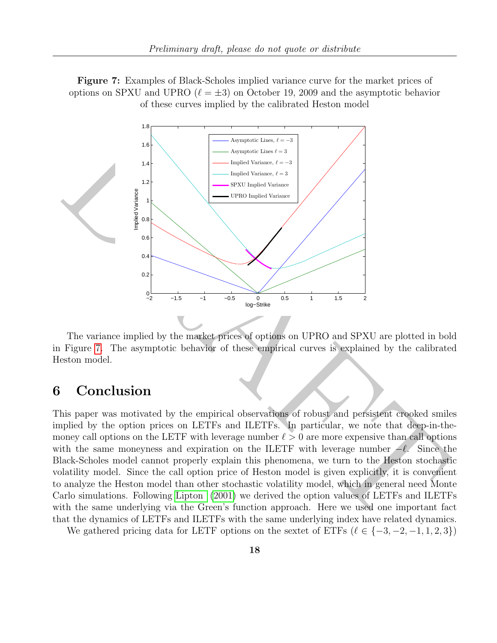<span id="page-17-1"></span>Figure 7: Examples of Black-Scholes implied variance curve for the market prices of options on SPXU and UPRO ( $\ell = \pm 3$ ) on October 19, 2009 and the asymptotic behavior of these curves implied by the calibrated Heston model



The variance implied by the market prices of options on UPRO and SPXU are plotted in bold in Figure 7. The asymptotic behavior of these empirical curves is explained by the calibrated Heston model.

## <span id="page-17-0"></span>6 Conclusion

This paper was motivated by the empirical observations of robust and persistent crooked smiles implied by the option prices on LETFs and ILETFs. In particular, we note that deep-in-themoney call options on the LETF with leverage number  $\ell > 0$  are more expensive than call options with the same moneyness and expiration on the ILETF with leverage number  $-\ell$ . Since the Black-Scholes model cannot properly explain this phenomena, we turn to the Heston stochastic volatility model. Since the call option price of Heston model is given explicitly, it is convenient to analyze the Heston model than other stochastic volatility model, which in general need Monte Carlo simulations. Following Lipton (2001) we derived the option values of LETFs and ILETFs with the same underlying via the Green's function approach. Here we used one important fact that the dynamics of LETFs and ILETFs with the same underlying index have related dynamics.

We gathered pricing data for LETF options on the sextet of ETFs  $(\ell \in \{-3, -2, -1, 1, 2, 3\})$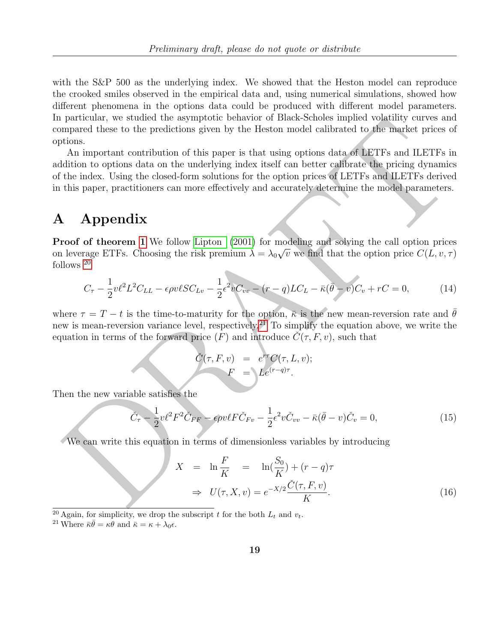with the S&P 500 as the underlying index. We showed that the Heston model can reproduce the crooked smiles observed in the empirical data and, using numerical simulations, showed how different phenomena in the options data could be produced with different model parameters. In particular, we studied the asymptotic behavior of Black-Scholes implied volatility curves and compared these to the predictions given by the Heston model calibrated to the market prices of options.

particular, we strutted the symptoche formation is not the interesting of variable values.<br>
Denote the predictions given by the Heston model calibrated to the material prices of<br> [A](#page-21-9)n important contribution of this paper is An important contribution of this paper is that using options data of LETFs and ILETFs in addition to options data on the underlying index itself can better calibrate the pricing dynamics of the index. Using the closed-form solutions for the option prices of LETFs and ILETFs derived in this paper, practitioners can more effectively and accurately determine the model parameters.

## <span id="page-18-0"></span>A Appendix

Proof of theorem 1 We follow Lipton (2001) for modeling and solving the call option prices on leverage ETFs. Choosing the risk premium  $\lambda = \lambda_0 \sqrt{v}$  we find that the option price  $C(L, v, \tau)$ follows <sup>20</sup>

$$
C_{\tau} - \frac{1}{2}v\ell^2 L^2 C_{LL} - \epsilon \rho v \ell SC_{Lv} - \frac{1}{2}\epsilon^2 v C_{vv} - (r - q)LC_L - \bar{\kappa}(\bar{\theta} - v)C_v + rC = 0, \tag{14}
$$

where  $\tau = T - t$  is the time-to-maturity for the option,  $\bar{\kappa}$  is the new mean-reversion rate and  $\bar{\theta}$ new is mean-reversion variance level, respectively.<sup>21</sup> To simplify the equation above, we write the equation in terms of the forward price  $(F)$  and introduce  $\ddot{C}(\tau, F, v)$ , such that

$$
\check{C}(\tau, F, v) = e^{r\tau} C(\tau, L, v);
$$

$$
F = \Delta e^{(r-q)\tau}.
$$

Then the new variable satisfies the

$$
\check{C}_{\tau} - \frac{1}{2}v\ell^2 F^2 \check{C}_{FF} - \epsilon \rho v \ell F \check{C}_{Fv} - \frac{1}{2} \epsilon^2 v \check{C}_{vv} - \bar{\kappa} (\bar{\theta} - v) \check{C}_v = 0, \qquad (15)
$$

We can write this equation in terms of dimensionless variables by introducing

<span id="page-18-1"></span>
$$
X = \ln \frac{F}{K} = \ln(\frac{S_0}{K}) + (r - q)\tau
$$
  
\n
$$
\Rightarrow U(\tau, X, v) = e^{-X/2} \frac{\check{C}(\tau, F, v)}{K}.
$$
\n(16)

<sup>&</sup>lt;sup>20</sup> Again, for simplicity, we drop the subscript t for the both  $L_t$  and  $v_t$ .

<sup>&</sup>lt;sup>21</sup> Where  $\bar{\kappa}\bar{\theta} = \kappa\theta$  and  $\bar{\kappa} = \kappa + \lambda_0 \epsilon$ .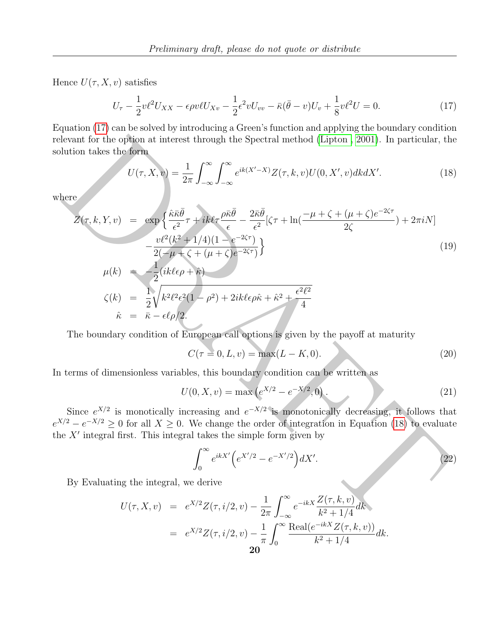Hence  $U(\tau, X, v)$  satisfies

<span id="page-19-1"></span>
$$
U_{\tau} - \frac{1}{2}v\ell^2 U_{XX} - \epsilon \rho v \ell U_{Xv} - \frac{1}{2}\epsilon^2 v U_{vv} - \bar{\kappa}(\bar{\theta} - v)U_v + \frac{1}{8}v\ell^2 U = 0.
$$
 (17)

Equation [\(17\)](#page-19-1) can be solved by introducing a Green's function and applying the boundary condition relevant for the option at interest through the Spectral method (Lipton , 2001). In particular, the solution takes the form

<span id="page-19-2"></span>
$$
U(\tau, X, v) = \frac{1}{2\pi} \int_{-\infty}^{\infty} \int_{-\infty}^{\infty} e^{ik(X'-X)} Z(\tau, k, v) U(0, X', v) dk dX'. \tag{18}
$$

<span id="page-19-0"></span>where

levant for the option at interest through the Spectral method (Lipton, 2001). In particular, the  
\nlution takes the form

\n
$$
U(\tau, X, v) = \frac{1}{2\pi} \int_{-\infty}^{\infty} \int_{-\infty}^{\infty} e^{ik(X'-X)} Z(\tau, k, v) U(0, X', v) dk dX'.
$$
\n(18)

\nhere

\n
$$
Z(\tau, k, Y, v) = \exp\left\{ \frac{\hat{\kappa} \bar{\kappa} \bar{\theta}}{e^2} \tau + i k \theta \tau \frac{\rho \bar{\kappa} \bar{\theta}}{e} - \frac{2\bar{\kappa} \bar{\theta}}{e^2} (\zeta \tau + \ln(\frac{-\mu + \zeta + (\mu + \zeta)e^{-2\zeta \tau}}{2\zeta}) + 2\pi i N \right]
$$
\n
$$
- \frac{v\ell^2(k^2 + 1/4)(1 - e^{-2\zeta \tau})}{2(-\mu + \zeta + (\mu + \zeta)e^{-2\zeta \tau})} \right\}
$$
\n(19)

\n
$$
\mu(k) = \frac{1}{2} (\frac{1}{k} \ell \epsilon \rho + \hat{\kappa})
$$
\n
$$
\zeta(k) = \frac{1}{2} \sqrt{k^2 \ell^2 \epsilon^2 (1 - \rho^2) + 2ik \ell \epsilon \rho \hat{\kappa} + \hat{\kappa}^2 + \frac{\epsilon^2 \ell^2}{4}}
$$
\n
$$
\hat{\kappa} = \bar{\kappa} - \epsilon \ell \rho/2.
$$
\nThe boundary condition of European call options is given by the payoff at maturity

\n
$$
C(\tau = 0, L, v) = \max(L - K, 0).
$$
\n(20)

\nterms of dimensionless variables, this boundary condition can be written as

\n
$$
U(0, X, v) = \max\left(\frac{e^{X/2} - e^{-X/2}, 0}{e^{-X/2}}, 0\right).
$$
\nSince e<sup>X/2</sup> is monotically increasing and e<sup>-X/2</sup> is monotonically decreasing, it follows that

\n
$$
e^{X/\pi} = e^{-X/2} \ge 0 \text{ for all } X \ge 0. \text{ We change the order of integration in Equation (18) to evaluate\n
$$
X' \text{ integral first. This integral takes the simple form given by
$$
\n
$$

$$
\zeta(k) = \frac{1}{2} \sqrt{k^2 \ell^2 \epsilon^2 (1 - \rho^2) + 2ik \ell \epsilon \rho \hat{\kappa} + \hat{\kappa}^2 + \frac{\epsilon^2 \ell^2}{4}}
$$
  

$$
\hat{\kappa} = \bar{\kappa} - \epsilon \ell \rho / 2.
$$

The boundary condition of European call options is given by the payoff at maturity

$$
C(\tau = 0, L, v) = \max(L - K, 0).
$$
\n(20)

In terms of dimensionless variables, this boundary condition can be written as

$$
U(0, X, v) = \max (e^{X/2} - e^{-X/2}, 0).
$$
 (21)

Since  $e^{X/2}$  is monotically increasing and  $e^{-X/2}$  is monotonically decreasing, it follows that  $e^{X/2} - e^{-X/2} \ge 0$  for all  $X \ge 0$ . We change the order of integration in Equation (18) to evaluate the  $X'$  integral first. This integral takes the simple form given by

$$
\int_0^\infty e^{ikX'} \Big( e^{X'/2} - e^{-X'/2} \Big) dX'. \tag{22}
$$

By Evaluating the integral, we derive

$$
U(\tau, X, v) = e^{X/2} Z(\tau, i/2, v) - \frac{1}{2\pi} \int_{-\infty}^{\infty} e^{-ikx} \frac{Z(\tau, k, v)}{k^2 + 1/4} dk
$$
  
=  $e^{X/2} Z(\tau, i/2, v) - \frac{1}{\pi} \int_{0}^{\infty} \frac{\text{Real}(e^{-ikX} Z(\tau, k, v))}{k^2 + 1/4} dk.$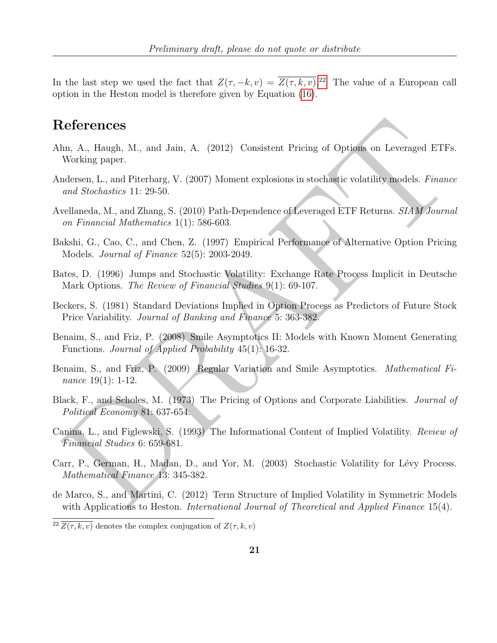In the last step we used the fact that  $Z(\tau,-k,v) = \overline{Z(\tau,k,v)}$ .<sup>[22](#page-0-0)</sup> The value of a European call option in the Heston model is therefore given by Equation [\(16\)](#page-18-1).

## References

- <span id="page-20-3"></span>Ahn, A., Haugh, M., and Jain, A. (2012) Consistent Pricing of Options on Leveraged ETFs. Working paper.
- <span id="page-20-8"></span>Andersen, L., and Piterbarg, V. (2007) Moment explosions in stochastic volatility models. Finance and Stochastics 11: 29-50.
- <span id="page-20-7"></span>Avellaneda, M., and Zhang, S. (2010) Path-Dependence of Leveraged ETF Returns. SIAM Journal on Financial Mathematics 1(1): 586-603.
- <span id="page-20-10"></span>Bakshi, G., Cao, C., and Chen, Z. (1997) Empirical Performance of Alternative Option Pricing Models. Journal of Finance 52(5): 2003-2049.
- <span id="page-20-9"></span>Bates, D. (1996) Jumps and Stochastic Volatility: Exchange Rate Process Implicit in Deutsche Mark Options. The Review of Financial Studies 9(1): 69-107.
- <span id="page-20-1"></span>Beckers, S. (1981) Standard Deviations Implied in Option Process as Predictors of Future Stock Price Variability. Journal of Banking and Finance 5: 363-382.
- <span id="page-20-6"></span><span id="page-20-5"></span>Benaim, S., and Friz, P. (2008) Smile Asymptotics II: Models with Known Moment Generating Functions. Journal of Applied Probability 45(1): 16-32.
- **Leferences**<br>
Inn, A., Haugh, M., and Jaim, A. (2012) Consistent Pricing of Options on Leveraged ETFs<br>
Working paper.<br>
Working paper.<br>
Working paper.<br>
Working Paper.<br>
and Stochastics 11: 29-50.<br>
cellaneda, M., and Zhang, S Benaim, S., and Friz, P. (2009) Regular Variation and Smile Asymptotics. Mathematical Finance 19(1): 1-12.
- <span id="page-20-0"></span>Black, F., and Scholes, M. (1973) The Pricing of Options and Corporate Liabilities. Journal of Political Economy 81: 637-654.
- <span id="page-20-2"></span>Canina, L., and Figlewski, S. (1993) The Informational Content of Implied Volatility. Review of Financial Studies 6: 659-681.
- <span id="page-20-11"></span>Carr, P., German, H., Madan, D., and Yor, M. (2003) Stochastic Volatility for Lévy Process. Mathematical Finance 13: 345-382.
- <span id="page-20-4"></span>de Marco, S., and Martini, C. (2012) Term Structure of Implied Volatility in Symmetric Models with Applications to Heston. *International Journal of Theoretical and Applied Finance* 15(4).

 $\sqrt{2^2 Z(\tau, k, v)}$  denotes the complex conjugation of  $Z(\tau, k, v)$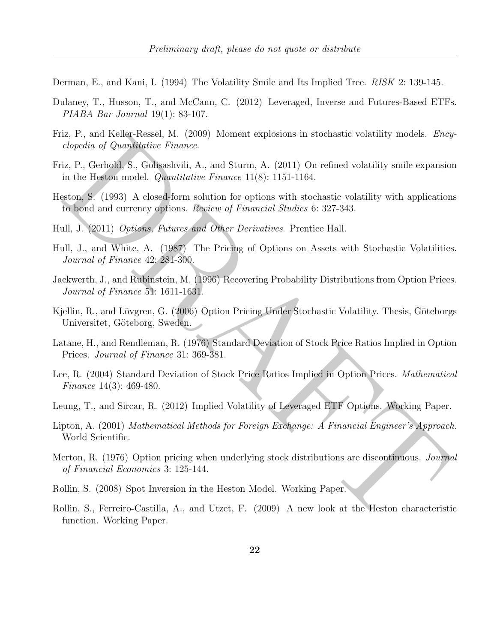<span id="page-21-3"></span>Derman, E., and Kani, I. (1994) The Volatility Smile and Its Implied Tree. RISK 2: 139-145.

- <span id="page-21-5"></span>Dulaney, T., Husson, T., and McCann, C. (2012) Leveraged, Inverse and Futures-Based ETFs. PIABA Bar Journal 19(1): 83-107.
- <span id="page-21-12"></span>Friz, P., and Keller-Ressel, M. (2009) Moment explosions in stochastic volatility models. Encyclopedia of Quantitative Finance.
- <span id="page-21-11"></span>Friz, P., Gerhold, S., Golisashvili, A., and Sturm, A. (2011) On refined volatility smile expansion in the Heston model. Quantitative Finance 11(8): 1151-1164.
- <span id="page-21-0"></span>Heston, S. (1993) A closed-form solution for options with stochastic volatility with applications to bond and currency options. Review of Financial Studies 6: 327-343.
- <span id="page-21-4"></span>Hull, J. (2011) Options, Futures and Other Derivatives. Prentice Hall.
- <span id="page-21-8"></span>Hull, J., and White, A. (1987) The Pricing of Options on Assets with Stochastic Volatilities. Journal of Finance 42: 281-300.
- <span id="page-21-15"></span><span id="page-21-1"></span>Jackwerth, J., and Rubinstein, M. (1996) Recovering Probability Distributions from Option Prices. Journal of Finance 51: 1611-1631.
- 1.4. r., and New Presencesco, in. (2009)<br>
is clonedia of Quarditative Fountar,<br>
iz, P., Gerhold, S., Gollagshvili, A., and Sturm, A. (2011) On refined volatility smile expansion<br>
in the Heston model. Quarditative France: Kjellin, R., and Lövgren, G. (2006) Option Pricing Under Stochastic Volatility. Thesis, Göteborgs Universitet, Göteborg, Sweden.
- <span id="page-21-2"></span>Latane, H., and Rendleman, R. (1976) Standard Deviation of Stock Price Ratios Implied in Option Prices. Journal of Finance 31: 369-381.
- <span id="page-21-6"></span>Lee, R. (2004) Standard Deviation of Stock Price Ratios Implied in Option Prices. Mathematical Finance 14(3): 469-480.
- <span id="page-21-13"></span>Leung, T., and Sircar, R. (2012) Implied Volatility of Leveraged ETF Options. Working Paper.
- <span id="page-21-9"></span>Lipton, A. (2001) Mathematical Methods for Foreign Exchange: A Financial Engineer's Approach. World Scientific.
- <span id="page-21-7"></span>Merton, R. (1976) Option pricing when underlying stock distributions are discontinuous. *Journal* of Financial Economics 3: 125-144.
- <span id="page-21-14"></span>Rollin, S. (2008) Spot Inversion in the Heston Model. Working Paper.
- <span id="page-21-10"></span>Rollin, S., Ferreiro-Castilla, A., and Utzet, F. (2009) A new look at the Heston characteristic function. Working Paper.